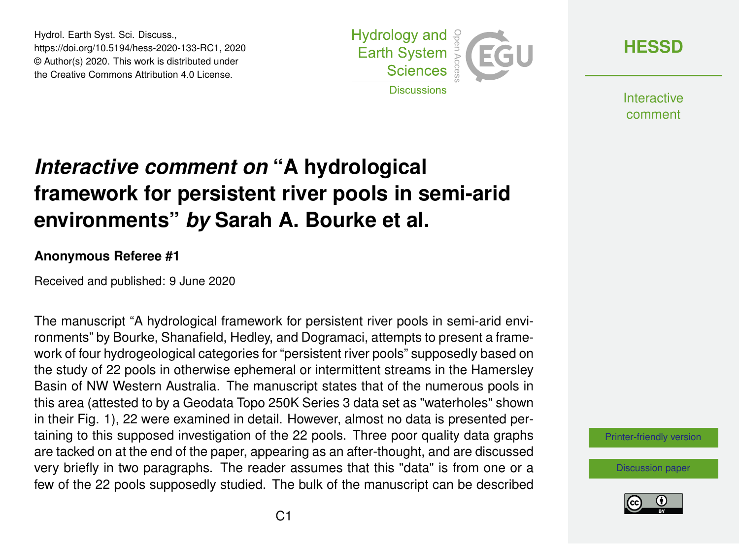Hydrol. Earth Syst. Sci. Discuss., https://doi.org/10.5194/hess-2020-133-RC1, 2020 © Author(s) 2020. This work is distributed under the Creative Commons Attribution 4.0 License.



**[HESSD](https://www.hydrol-earth-syst-sci-discuss.net/)**

**Interactive** comment

## *Interactive comment on* **"A hydrological framework for persistent river pools in semi-arid environments"** *by* **Sarah A. Bourke et al.**

## **Anonymous Referee #1**

Received and published: 9 June 2020

The manuscript "A hydrological framework for persistent river pools in semi-arid environments" by Bourke, Shanafield, Hedley, and Dogramaci, attempts to present a framework of four hydrogeological categories for "persistent river pools" supposedly based on the study of 22 pools in otherwise ephemeral or intermittent streams in the Hamersley Basin of NW Western Australia. The manuscript states that of the numerous pools in this area (attested to by a Geodata Topo 250K Series 3 data set as "waterholes" shown in their Fig. 1), 22 were examined in detail. However, almost no data is presented pertaining to this supposed investigation of the 22 pools. Three poor quality data graphs are tacked on at the end of the paper, appearing as an after-thought, and are discussed very briefly in two paragraphs. The reader assumes that this "data" is from one or a few of the 22 pools supposedly studied. The bulk of the manuscript can be described

[Printer-friendly version](https://www.hydrol-earth-syst-sci-discuss.net/hess-2020-133/hess-2020-133-RC1-print.pdf)

[Discussion paper](https://www.hydrol-earth-syst-sci-discuss.net/hess-2020-133)